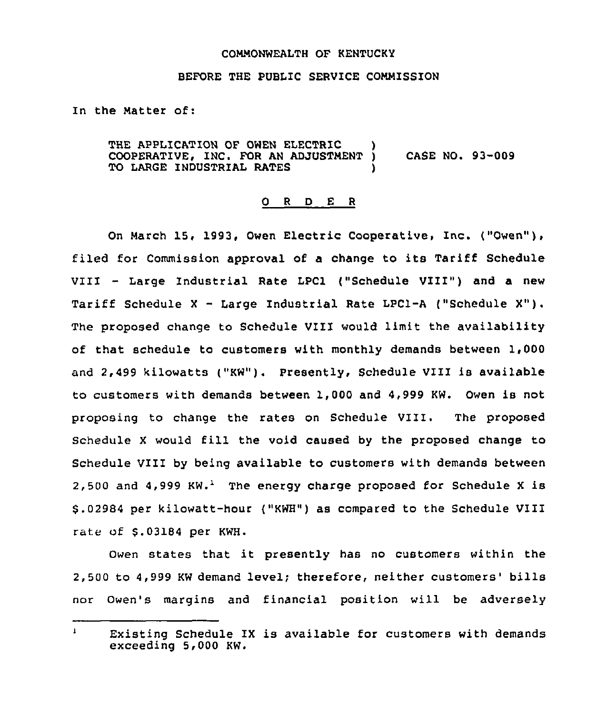## COMMONWEALTH OF KENTUCKY

## BEFORE THE PUBLIC SERVICE COMMISSION

In the Natter of:

THE APPLICATION OF OWEN ELECTRIC )<br>COOPERATIVE, INC. FOR AN ADJUSTMENT ) COOPERATIVE, INC. FOR AN ADJUSTMENT ) CASE NO. 93-009 TO LARGE INDUSTRIAL RATES

## 0 <sup>R</sup> <sup>D</sup> E <sup>R</sup>

On March 15, 1993, Owen Electric Cooperative, Inc. ("Owen" ), filed for Commission approval of a change to its Tariff Schedule VIII — Large Industrial Rate LPC1 ("Schedule VIII") and <sup>a</sup> new Tariff Schedule <sup>X</sup> — Large Industrial Rate LPC1-A ("Schedule X"). The proposed change to Schedule VIII would limit the availability of that schedule to customers with monthly demands between 1,000 and 2,499 kilowatts ("KW"). Presently, Schedule VIII is available to customers with demands between 1,000 and 4,999 KW. Owen is not proposing to change the rates on Schedule VIII. The proposed Schedule X would fill the void caused by the proposed change to schedule vIII by being available to customers with demands between 2,500 and  $4.999$  KW.<sup>1</sup> The energy charge proposed for Schedule X is 8.02984 per kilowatt-hour {"KWH") as compared to the Schedule VIII rate of \$.03184 per KWH.

Owen states that it presently has no customers within the 2,500 to 4,999 KW demand level; therefore, neither customers' bills nor Owen's margins and financial position will be adversely

 $\mathbf{I}$ Existing Schedule IX is available for customers with demands exceeding 5,000 KW.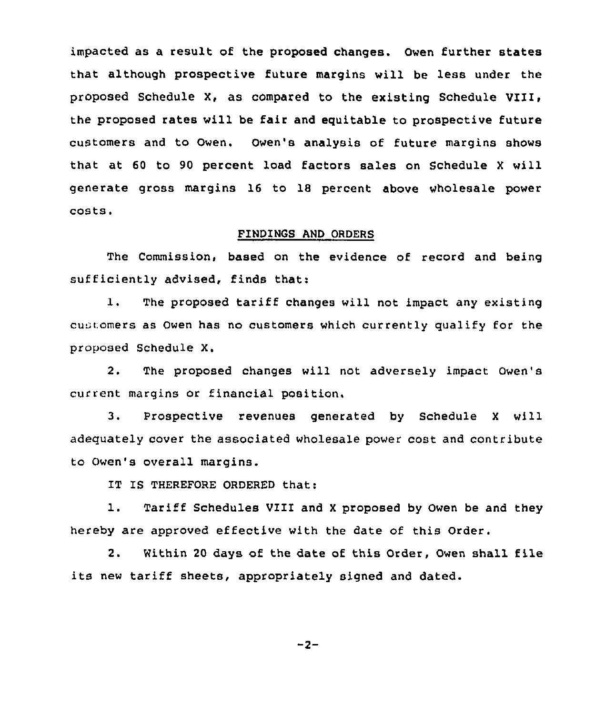impacted as a result of the proposed changes. Owen further states that although prospective future margins will be less under the proposed Schedule X, as compared to the existing Schedule VIII, the proposed rates will be fair and equitable to prospective future customers and to Owen. Owen's analysis of future margins shows that at 60 to 90 percent load factors sales on Schedule <sup>X</sup> will generate gross margins 16 to 18 percent above wholesale power costs.

## FINDINGS AND ORDERS

The Commission, based on the evidence of record and being sufficiently advised, finds that:

1. The proposed tariff changes will not impact any existing cu comers as Owen has no customers which currently qualify for the proposed Schedule X.

2. The proposed changes will not adversely impact Owen's current margins or financial position,

3. Prospective revenues generated by Schedule <sup>X</sup> will adequately cover the associated wholesale power cost and contribute to Owen's overall margins.

IT IS THEREFORE ORDERED that:

1. Tariff Schedules VIII and <sup>X</sup> proposed by Owen be and they hereby are approved effective with the date of this Order.

2. Within <sup>20</sup> days of the date of this Order, Owen shall file its new tariff sheets, appropriately signed and dated.

 $-2-$